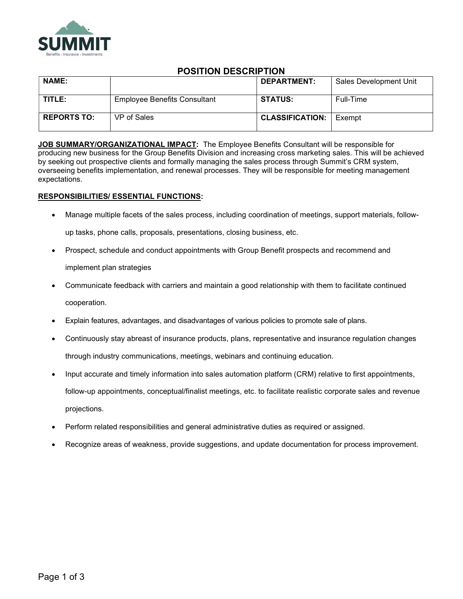

# POSITION DESCRIPTION

| <b>NAME:</b>       |                                     | DEPARTMENT:            | Sales Development Unit |
|--------------------|-------------------------------------|------------------------|------------------------|
| TITLE:             | <b>Employee Benefits Consultant</b> | <b>STATUS:</b>         | Full-Time              |
| <b>REPORTS TO:</b> | VP of Sales                         | <b>CLASSIFICATION:</b> | Exempt                 |

JOB SUMMARY/ORGANIZATIONAL IMPACT: The Employee Benefits Consultant will be responsible for producing new business for the Group Benefits Division and increasing cross marketing sales. This will be achieved by seeking out prospective clients and formally managing the sales process through Summit's CRM system, overseeing benefits implementation, and renewal processes. They will be responsible for meeting management expectations.

# RESPONSIBILITIES/ ESSENTIAL FUNCTIONS:

- Manage multiple facets of the sales process, including coordination of meetings, support materials, followup tasks, phone calls, proposals, presentations, closing business, etc.
- Prospect, schedule and conduct appointments with Group Benefit prospects and recommend and implement plan strategies
- Communicate feedback with carriers and maintain a good relationship with them to facilitate continued cooperation.
- Explain features, advantages, and disadvantages of various policies to promote sale of plans.
- Continuously stay abreast of insurance products, plans, representative and insurance regulation changes through industry communications, meetings, webinars and continuing education.
- Input accurate and timely information into sales automation platform (CRM) relative to first appointments, follow-up appointments, conceptual/finalist meetings, etc. to facilitate realistic corporate sales and revenue projections.
- Perform related responsibilities and general administrative duties as required or assigned.
- Recognize areas of weakness, provide suggestions, and update documentation for process improvement.